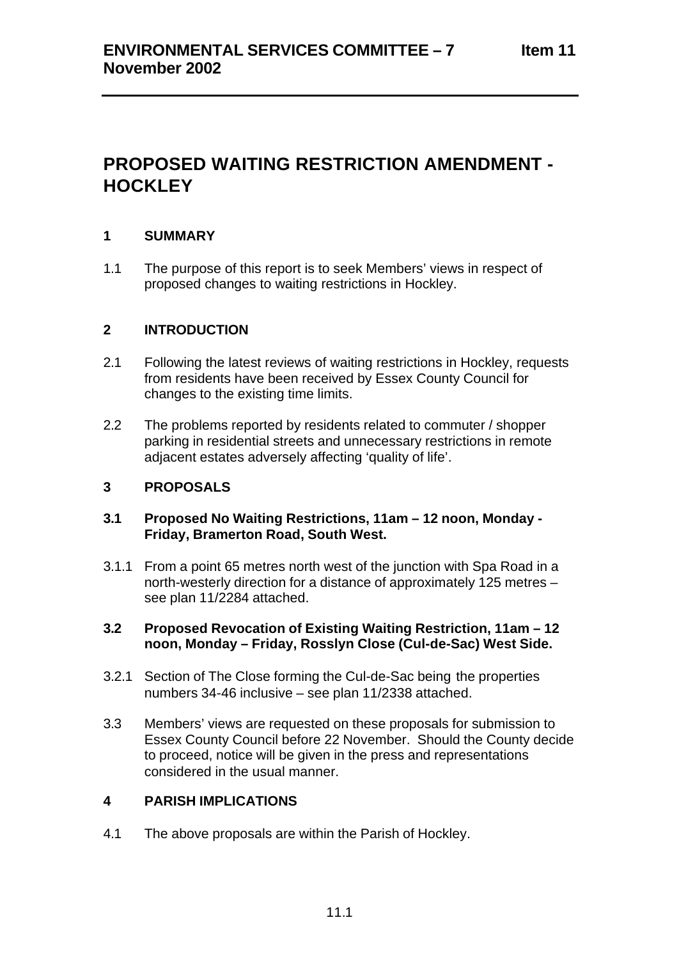# **PROPOSED WAITING RESTRICTION AMENDMENT - HOCKLEY**

### **1 SUMMARY**

1.1 The purpose of this report is to seek Members' views in respect of proposed changes to waiting restrictions in Hockley.

#### **2 INTRODUCTION**

- 2.1 Following the latest reviews of waiting restrictions in Hockley, requests from residents have been received by Essex County Council for changes to the existing time limits.
- 2.2 The problems reported by residents related to commuter / shopper parking in residential streets and unnecessary restrictions in remote adjacent estates adversely affecting 'quality of life'.

### **3 PROPOSALS**

#### **3.1 Proposed No Waiting Restrictions, 11am – 12 noon, Monday - Friday, Bramerton Road, South West.**

3.1.1 From a point 65 metres north west of the junction with Spa Road in a north-westerly direction for a distance of approximately 125 metres – see plan 11/2284 attached.

#### **3.2 Proposed Revocation of Existing Waiting Restriction, 11am – 12 noon, Monday – Friday, Rosslyn Close (Cul-de-Sac) West Side.**

- 3.2.1 Section of The Close forming the Cul-de-Sac being the properties numbers 34-46 inclusive – see plan 11/2338 attached.
- 3.3 Members' views are requested on these proposals for submission to Essex County Council before 22 November. Should the County decide to proceed, notice will be given in the press and representations considered in the usual manner.

#### **4 PARISH IMPLICATIONS**

4.1 The above proposals are within the Parish of Hockley.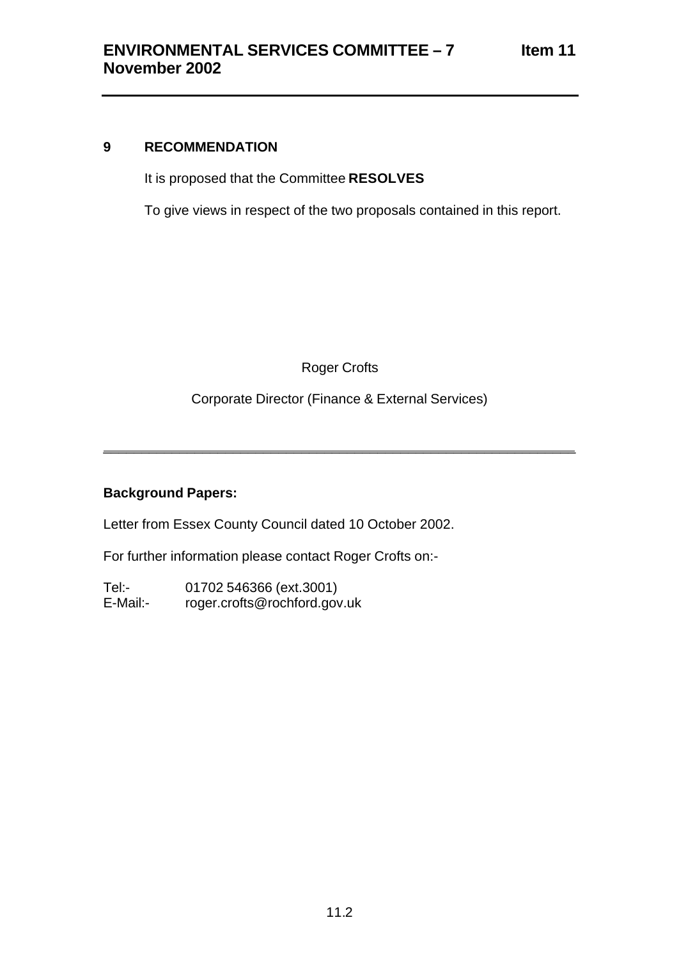# **9 RECOMMENDATION**

It is proposed that the Committee **RESOLVES**

To give views in respect of the two proposals contained in this report.

Roger Crofts

Corporate Director (Finance & External Services)

\_\_\_\_\_\_\_\_\_\_\_\_\_\_\_\_\_\_\_\_\_\_\_\_\_\_\_\_\_\_\_\_\_\_\_\_\_\_\_\_\_\_\_\_\_\_\_\_\_\_\_\_\_\_\_\_\_\_\_\_\_\_

## **Background Papers:**

Letter from Essex County Council dated 10 October 2002.

For further information please contact Roger Crofts on:-

Tel:- 01702 546366 (ext.3001) E-Mail:- roger.crofts@rochford.gov.uk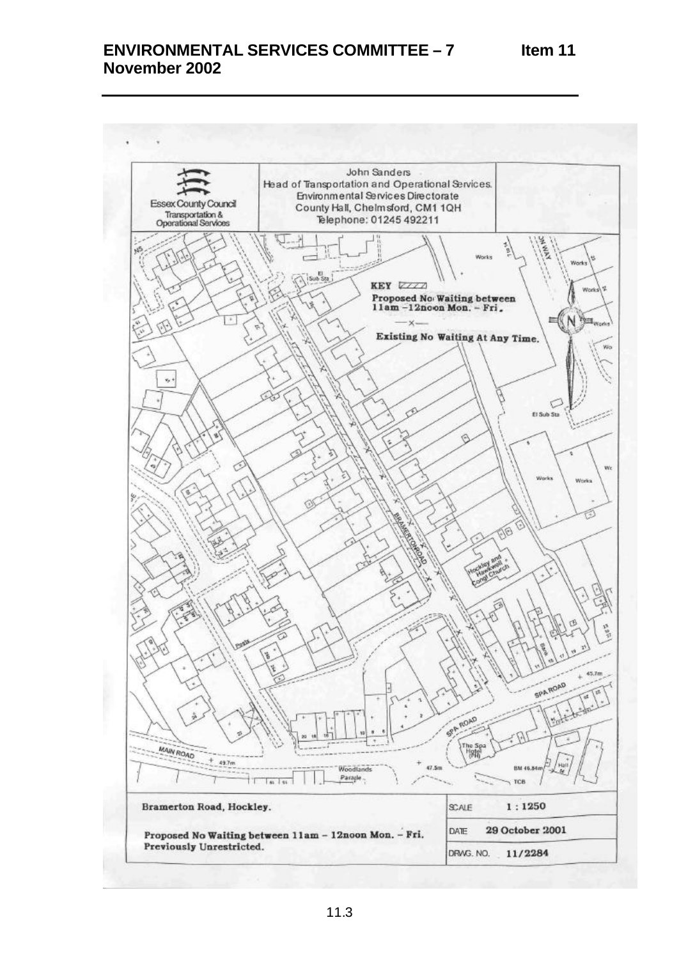# **ENVIRONMENTAL SERVICES COMMITTEE – 7 November 2002**